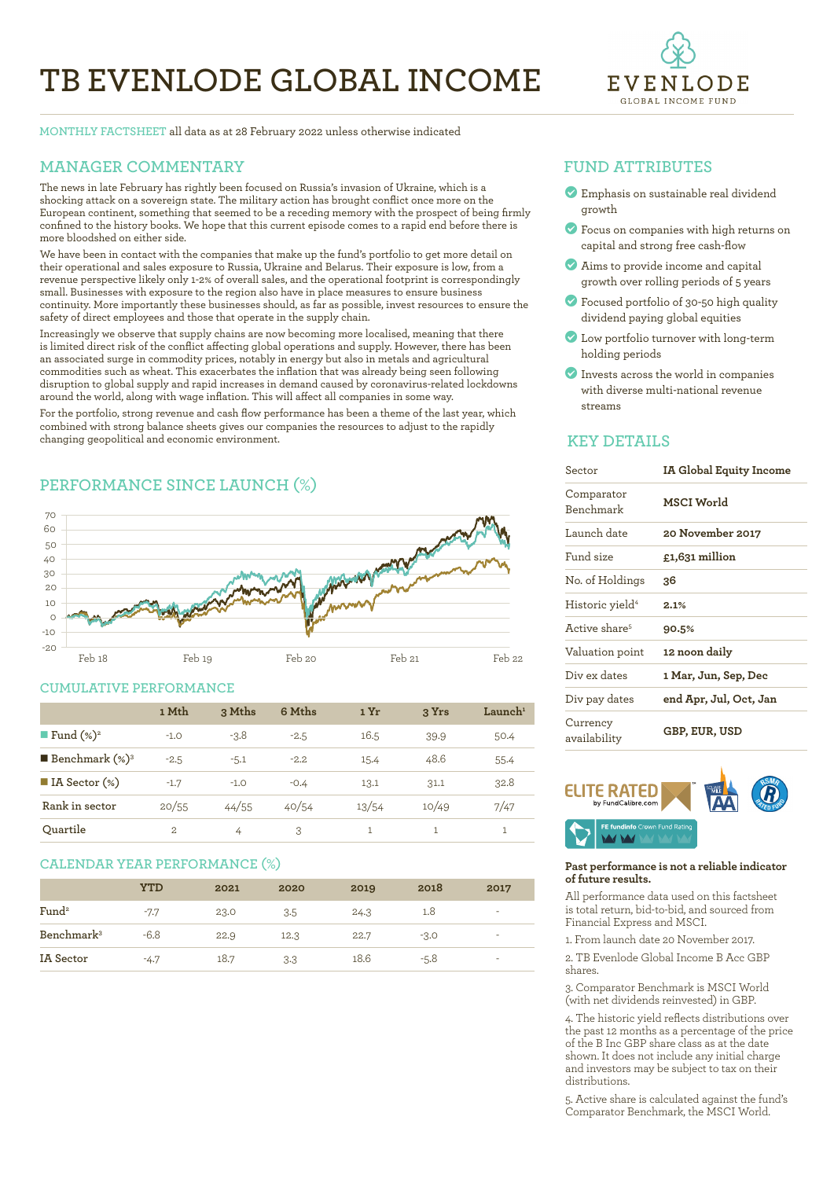# **TB EVENLODE GLOBAL INCOME**



**MONTHLY FACTSHEET** all data as at 28 February 2022 unless otherwise indicated

# **MANAGER COMMENTARY**

The news in late February has rightly been focused on Russia's invasion of Ukraine, which is a shocking attack on a sovereign state. The military action has brought conflict once more on the European continent, something that seemed to be a receding memory with the prospect of being firmly confined to the history books. We hope that this current episode comes to a rapid end before there is more bloodshed on either side.

We have been in contact with the companies that make up the fund's portfolio to get more detail on their operational and sales exposure to Russia, Ukraine and Belarus. Their exposure is low, from a revenue perspective likely only 1-2% of overall sales, and the operational footprint is correspondingly small. Businesses with exposure to the region also have in place measures to ensure business continuity. More importantly these businesses should, as far as possible, invest resources to ensure the safety of direct employees and those that operate in the supply chain.

Increasingly we observe that supply chains are now becoming more localised, meaning that there is limited direct risk of the conflict affecting global operations and supply. However, there has been an associated surge in commodity prices, notably in energy but also in metals and agricultural commodities such as wheat. This exacerbates the inflation that was already being seen following disruption to global supply and rapid increases in demand caused by coronavirus-related lockdowns around the world, along with wage inflation. This will affect all companies in some way.

For the portfolio, strong revenue and cash flow performance has been a theme of the last year, which combined with strong balance sheets gives our companies the resources to adjust to the rapidly changing geopolitical and economic environment. 

# **PERFORMANCE SINCE LAUNCH (%)**



### **CUMULATIVE PERFORMANCE**

|                              | 1 Mth  | 3 Mths | 6 Mths | 1 Yr  | 3 Yrs | Launch <sup>1</sup> |
|------------------------------|--------|--------|--------|-------|-------|---------------------|
| <b>Fund</b> $(\%)^2$         | $-1.0$ | $-3.8$ | $-2.5$ | 16.5  | 39.9  | 50.4                |
| <b>Benchmark</b> $(\%)^3$    | $-2.5$ | $-5.1$ | $-2.2$ | 15.4  | 48.6  | 55.4                |
| $\blacksquare$ IA Sector (%) | $-1.7$ | $-1.0$ | $-0.4$ | 13.1  | 31.1  | 32.8                |
| Rank in sector               | 20/55  | 44/55  | 40/54  | 13/54 | 10/49 | 7/47                |
| Ouartile                     | 2      | 4      | 3      | 1     |       |                     |

### **CALENDAR YEAR PERFORMANCE (%)**

|                        | YTD    | 2021 | 2020 | 2019 | 2018   | 2017                     |
|------------------------|--------|------|------|------|--------|--------------------------|
| Fund <sup>2</sup>      | $-7.7$ | 23.0 | 3.5  | 24.3 | 1.8    | ٠                        |
| Benchmark <sup>3</sup> | $-6.8$ | 22.9 | 12.3 | 22.7 | $-3.0$ | $\overline{\phantom{a}}$ |
| IA Sector              | $-4.7$ | 18.7 | 3.3  | 18.6 | $-5.8$ | $\overline{\phantom{a}}$ |

## **FUND ATTRIBUTES**

- ? Emphasis on sustainable real dividend growth
- ? Focus on companies with high returns on capital and strong free cash-flow
- ? Aims to provide income and capital growth over rolling periods of 5 years
- ? Focused portfolio of 30-50 high quality dividend paying global equities
- ? Low portfolio turnover with long-term holding periods
- ? Invests across the world in companies with diverse multi-national revenue streams

### **KEY DETAILS**

| Sector                      | IA Global Equity Income |  |  |  |
|-----------------------------|-------------------------|--|--|--|
| Comparator<br>Benchmark     | <b>MSCI World</b>       |  |  |  |
| Launch date                 | 20 November 2017        |  |  |  |
| Fund size                   | £1,631 million          |  |  |  |
| No. of Holdings             | 36                      |  |  |  |
| Historic yield <sup>4</sup> | 2.1%                    |  |  |  |
| Active share <sup>5</sup>   | 90.5%                   |  |  |  |
| Valuation point             | 12 noon daily           |  |  |  |
| Div ex dates                | 1 Mar, Jun, Sep, Dec    |  |  |  |
| Div pay dates               | end Apr, Jul, Oct, Jan  |  |  |  |
| Currency<br>availability    | GBP, EUR, USD           |  |  |  |



#### **Past performance is not a reliable indicator of future results.**

All performance data used on this factsheet is total return, bid-to-bid, and sourced from Financial Express and MSCI.

1. From launch date 20 November 2017.

2. TB Evenlode Global Income B Acc GBP shares.

3. Comparator Benchmark is MSCI World (with net dividends reinvested) in GBP.

4. The historic yield reflects distributions over the past 12 months as a percentage of the price of the B Inc GBP share class as at the date shown. It does not include any initial charge and investors may be subject to tax on their distributions.

5. Active share is calculated against the fund's Comparator Benchmark, the MSCI World.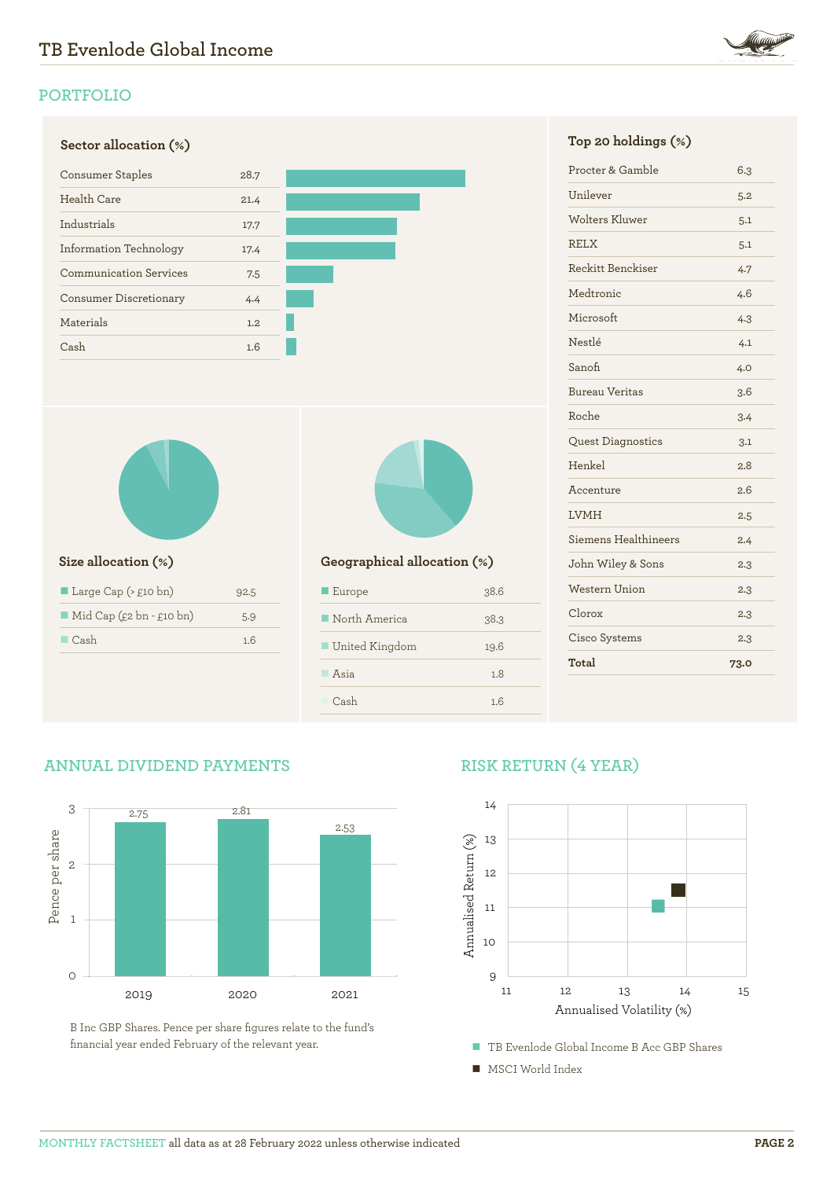

# **PORTFOLIO**





| Large Cap ( $\geq$ £10 bn)              | 92.5 |
|-----------------------------------------|------|
| $\blacksquare$ Mid Cap (£2 bn - £10 bn) | 5.9  |
| $\Box$ Cash                             | 16   |
|                                         |      |



## **Size allocation (%) Geographical allocation (%)**

| $\blacksquare$ Europe        | 38.6 |
|------------------------------|------|
| $\blacksquare$ North America | 38.3 |
| ■ United Kingdom             | 19.6 |
| Asia                         | 1.8  |
| Cash                         | 1.6  |

| Procter & Gamble         | 6.3  |
|--------------------------|------|
| Unilever                 | 5.2  |
| <b>Wolters Kluwer</b>    | 5.1  |
| <b>RELX</b>              | 5.1  |
| Reckitt Benckiser        | 4.7  |
| Medtronic                | 4.6  |
| Microsoft                | 4.3  |
| Nestlé                   | 4.1  |
| Sanofi                   | 4.0  |
| <b>Bureau Veritas</b>    | 3.6  |
| Roche                    | 3.4  |
| <b>Quest Diagnostics</b> | 3.1  |
| Henkel                   | 2.8  |
| Accenture                | 2.6  |
| <b>LVMH</b>              | 2.5  |
| Siemens Healthineers     | 2.4  |
| John Wiley & Sons        | 2.3  |
| <b>Western Union</b>     | 2.3  |
| Clorox                   | 2.3  |
| Cisco Systems            | 2.3  |
| Total                    | 73.0 |
|                          |      |

# **ANNUAL DIVIDEND PAYMENTS**



B Inc GBP Shares. Pence per share figures relate to the fund's financial year ended February of the relevant year.

# **RISK RETURN (4 YEAR)**



- TB Evenlode Global Income B Acc GBP Shares
- MSCI World Index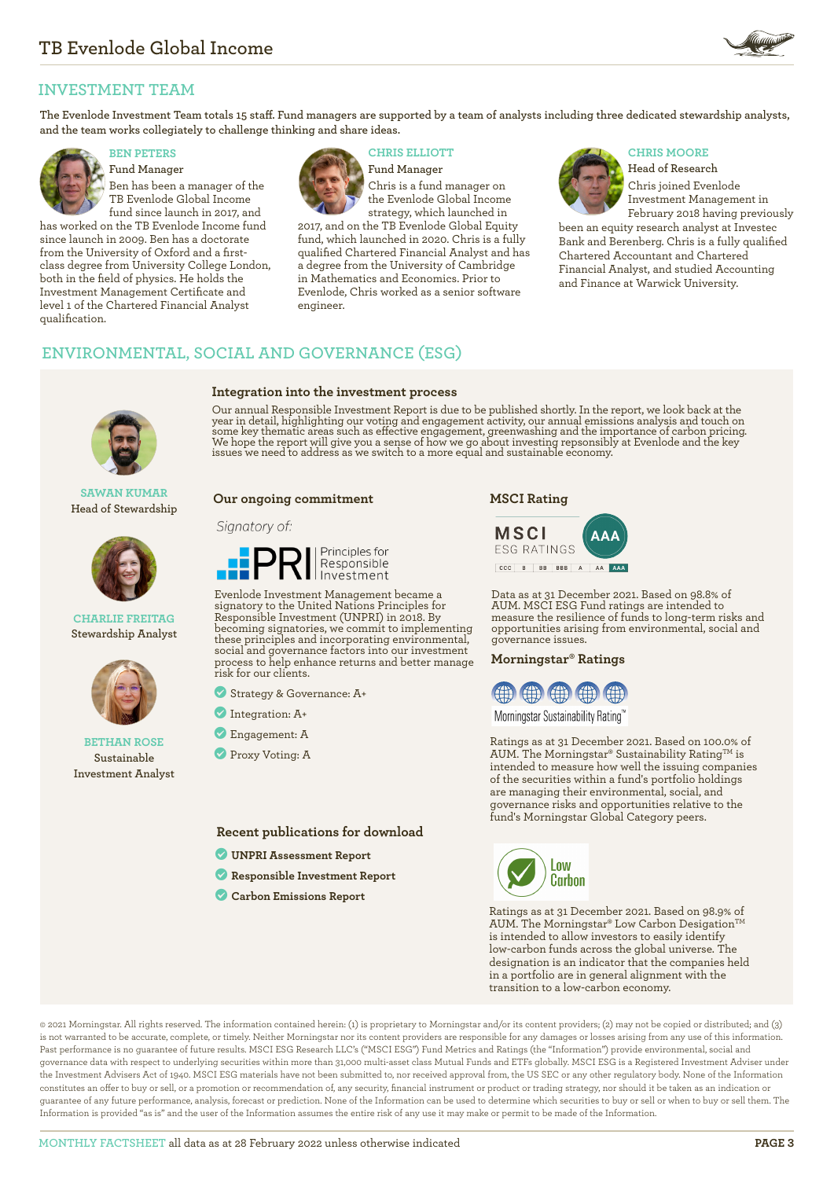

# **INVESTMENT TEAM**

**The Evenlode Investment Team totals 15 staff. Fund managers are supported by a team of analysts including three dedicated stewardship analysts, and the team works collegiately to challenge thinking and share ideas.**



**Fund Manager** Ben has been a manager of the TB Evenlode Global Income fund since launch in 2017, and

has worked on the TB Evenlode Income fund since launch in 2009. Ben has a doctorate from the University of Oxford and a firstclass degree from University College London, both in the field of physics. He holds the Investment Management Certificate and level 1 of the Chartered Financial Analyst qualification.



**Integration into the investment process**

**BEN PETERS CHRIS ELLIOTT CHRIS MOORE** 

**Fund Manager** Chris is a fund manager on the Evenlode Global Income strategy, which launched in

2017, and on the TB Evenlode Global Equity fund, which launched in 2020. Chris is a fully qualified Chartered Financial Analyst and has a degree from the University of Cambridge in Mathematics and Economics. Prior to Evenlode, Chris worked as a senior software engineer.



**Head of Research** Chris joined Evenlode Investment Management in February 2018 having previously

been an equity research analyst at Investec Bank and Berenberg. Chris is a fully qualified Chartered Accountant and Chartered Financial Analyst, and studied Accounting and Finance at Warwick University.

# **ENVIRONMENTAL, SOCIAL AND GOVERNANCE (ESG)**



**SAWAN KUMAR Head of Stewardship**



#### **CHARLIE FREITAG Stewardship Analyst**



#### **BETHAN ROSE Sustainable Investment Analyst**

Our annual Responsible Investment Report is due to be published shortly. In the report, we look back at the year in detail, highlighting our voting and engagement activity, our annual emissions analysis and touch on some key thematic areas such as effective engagement, greenwashing and the importance of carbon pricing.<br>We hope the report will give you a sense of how we go about investing repsonsibly at Evenlode and the key<br>issues we n

#### **Our ongoing commitment**

#### Signatory of:



Evenlode Investment Management became a signatory to the United Nations Principles for Responsible Investment (UNPRI) in 2018. By becoming signatories, we commit to implementing these principles and incorporating environmental, social and governance factors into our investment process to help enhance returns and better manage risk for our clients.

? Strategy & Governance: A+

- ? Integration: A+
- ? Engagement: A
- **Proxy Voting: A**

### **Recent publications for download**

- ? **[UNPRI Assessment Report](https://evenlodeinvestment.com/resources/stewardship-assets/2020-Assessment-Report.pdf)**
- ? **[Responsible Investment Report](https://evenlodeinvestment.com/resources/stewardship-assets/Evenlode-Annual-RI-Report-2020-Final.pdf)**
- ? **[Carbon Emissions Report](https://evenlodeinvestment.com/resources/stewardship-assets/Evenlode-Portfolio-Carbon-Emissions-Report-2021.pdf)**

**MSCI Rating**



Data as at 31 December 2021. Based on 98.8% of AUM. MSCI ESG Fund ratings are intended to measure the resilience of funds to long-term risks and opportunities arising from environmental, social and governance issues.

#### **Morningstar® Ratings**



Morningstar Sustainability Rating™

Ratings as at 31 December 2021. Based on 100.0% of AUM. The Morningstar® Sustainability Rating™ is intended to measure how well the issuing companies of the securities within a fund's portfolio holdings are managing their environmental, social, and governance risks and opportunities relative to the fund's Morningstar Global Category peers.



Ratings as at 31 December 2021. Based on 98.9% of AUM. The Morningstar® Low Carbon Desigation<sup>™</sup> is intended to allow investors to easily identify low-carbon funds across the global universe. The designation is an indicator that the companies held in a portfolio are in general alignment with the transition to a low-carbon economy.

© 2021 Morningstar. All rights reserved. The information contained herein: (1) is proprietary to Morningstar and/or its content providers; (2) may not be copied or distributed; and (3) is not warranted to be accurate, complete, or timely. Neither Morningstar nor its content providers are responsible for any damages or losses arising from any use of this information. Past performance is no guarantee of future results. MSCI ESG Research LLC's ("MSCI ESG") Fund Metrics and Ratings (the "Information") provide environmental, social and governance data with respect to underlying securities within more than 31,000 multi-asset class Mutual Funds and ETFs globally. MSCI ESG is a Registered Investment Adviser under the Investment Advisers Act of 1940. MSCI ESG materials have not been submitted to, nor received approval from, the US SEC or any other regulatory body. None of the Information constitutes an offer to buy or sell, or a promotion or recommendation of, any security, financial instrument or product or trading strategy, nor should it be taken as an indication or guarantee of any future performance, analysis, forecast or prediction. None of the Information can be used to determine which securities to buy or sell or when to buy or sell them. The Information is provided "as is" and the user of the Information assumes the entire risk of any use it may make or permit to be made of the Information.